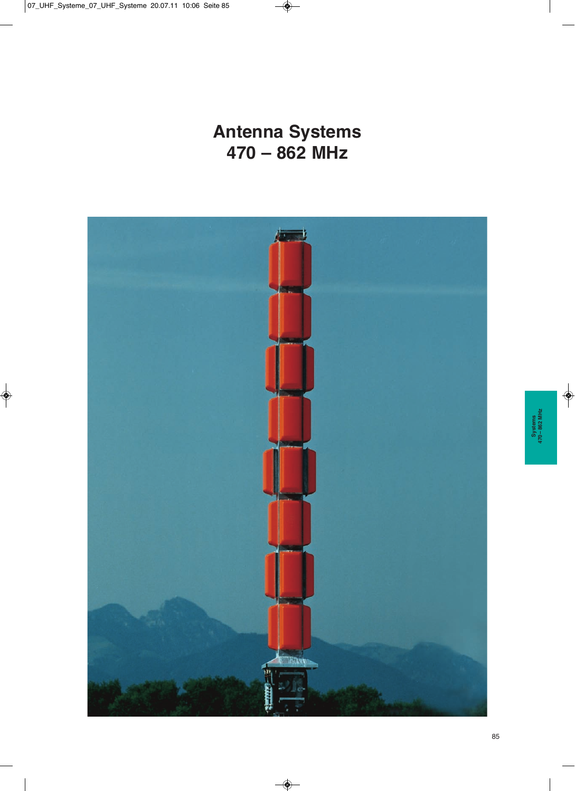**Antenna Systems 470 – 862 MHz**

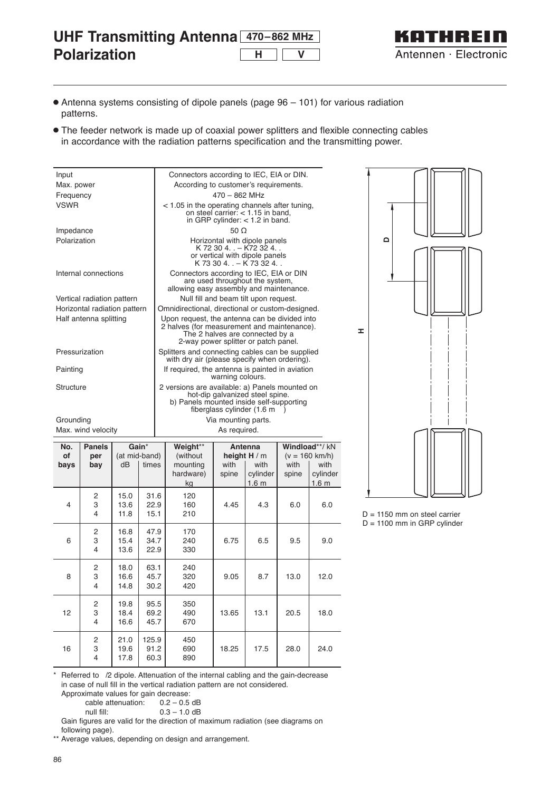**UHF Transmitting Antenna 470–862 MHz Polarization H V**



- Antenna systems consisting of dipole panels (page 96 101) for various radiation patterns.
- The feeder network is made up of coaxial power splitters and flexible connecting cables in accordance with the radiation patterns specification and the transmitting power.

| Input                        | Connectors according to IEC, EIA or DIN.                                                                                                                                |
|------------------------------|-------------------------------------------------------------------------------------------------------------------------------------------------------------------------|
| Max. power                   | According to customer's requirements.                                                                                                                                   |
| Frequency                    | $470 - 862$ MHz                                                                                                                                                         |
| <b>VSWR</b>                  | $<$ 1.05 in the operating channels after tuning,<br>on steel carrier: $<$ 1.15 in band.<br>in GRP cylinder: $<$ 1.2 in band.                                            |
| Impedance                    | 50 O                                                                                                                                                                    |
| Polarization                 | Horizontal with dipole panels<br>$K$ 72 30 4. $-K$ 72 32 4.<br>or vertical with dipole panels<br>$K$ 73 30 4 $-K$ 73 32 4 $\ldots$                                      |
| Internal connections         | Connectors according to IEC, EIA or DIN<br>are used throughout the system,<br>allowing easy assembly and maintenance.                                                   |
| Vertical radiation pattern   | Null fill and beam tilt upon request.                                                                                                                                   |
| Horizontal radiation pattern | Omnidirectional, directional or custom-designed.                                                                                                                        |
| Half antenna splitting       | Upon request, the antenna can be divided into<br>2 halves (for measurement and maintenance).<br>The 2 halves are connected by a<br>2-way power splitter or patch panel. |
| Pressurization               | Splitters and connecting cables can be supplied<br>with dry air (please specify when ordering).                                                                         |
| Painting                     | If required, the antenna is painted in aviation<br>warning colours.                                                                                                     |
| Structure                    | 2 versions are available: a) Panels mounted on<br>hot-dip galvanized steel spine.<br>b) Panels mounted inside self-supporting<br>fiberglass cylinder (1.6 m             |
| Grounding                    | Via mounting parts.                                                                                                                                                     |
| Max. wind velocity           | As required.                                                                                                                                                            |



 $D = 1150$  mm on steel carrier D = 1100 mm in GRP cylinder

| No.<br>οf      | <b>Panels</b><br>per    | Gain*<br>(at mid-band) |       | Weight**<br>(without) |       | Antenna<br>height $H/m$ |       | Windload**/kN<br>$(v = 160$ km/h) |  |  |
|----------------|-------------------------|------------------------|-------|-----------------------|-------|-------------------------|-------|-----------------------------------|--|--|
| bays           | bay                     | dB                     | times | mounting              | with  | with                    | with  | with                              |  |  |
|                |                         |                        |       | hardware)             | spine | cylinder                | spine | cylinder                          |  |  |
|                |                         |                        |       | kg                    |       | 1.6 <sub>m</sub>        |       | 1.6 <sub>m</sub>                  |  |  |
|                | 2                       | 15.0                   | 31.6  | 120                   |       |                         |       |                                   |  |  |
| $\overline{4}$ | 3                       | 13.6                   | 22.9  | 160                   | 4.45  | 4.3                     | 6.0   | 6.0                               |  |  |
|                | $\overline{4}$          | 11.8                   | 15.1  | 210                   |       |                         |       |                                   |  |  |
|                | $\overline{\mathbf{c}}$ | 16.8                   | 47.9  | 170                   |       |                         |       |                                   |  |  |
| 6              | 3                       | 15.4                   | 34.7  | 240                   | 6.75  | 6.5                     | 9.5   | 9.0                               |  |  |
|                | $\overline{4}$          | 13.6                   | 22.9  | 330                   |       |                         |       |                                   |  |  |
|                | 2                       | 18.0                   | 63.1  | 240                   |       |                         |       |                                   |  |  |
| 8              | 3                       | 16.6                   | 45.7  | 320                   | 9.05  | 8.7                     | 13.0  | 12.0                              |  |  |
|                | $\overline{4}$          | 14.8                   | 30.2  | 420                   |       |                         |       |                                   |  |  |
|                | $\overline{2}$          | 19.8                   | 95.5  | 350                   |       |                         |       |                                   |  |  |
| 12             | 3                       | 18.4                   | 69.2  | 490                   | 13.65 | 13.1                    | 20.5  | 18.0                              |  |  |
|                | $\overline{4}$          | 16.6                   | 45.7  | 670                   |       |                         |       |                                   |  |  |
|                | $\overline{\mathbf{c}}$ | 21.0                   | 125.9 | 450                   |       |                         |       |                                   |  |  |
| 16             | 3                       | 19.6                   | 91.2  | 690                   | 18.25 | 17.5                    | 28.0  | 24.0                              |  |  |
|                | 4                       | 17.8                   | 60.3  | 890                   |       |                         |       |                                   |  |  |

\* Referred to /2 dipole. Attenuation of the internal cabling and the gain-decrease in case of null fill in the vertical radiation pattern are not considered.

Approximate values for gain decrease:<br>cable attenuation:  $0.2 - 0.5$  dB

cable attenuation:<br>null fill:

 $0.3 - 1.0$  dB

Gain figures are valid for the direction of maximum radiation (see diagrams on following page).

\*\* Average values, depending on design and arrangement.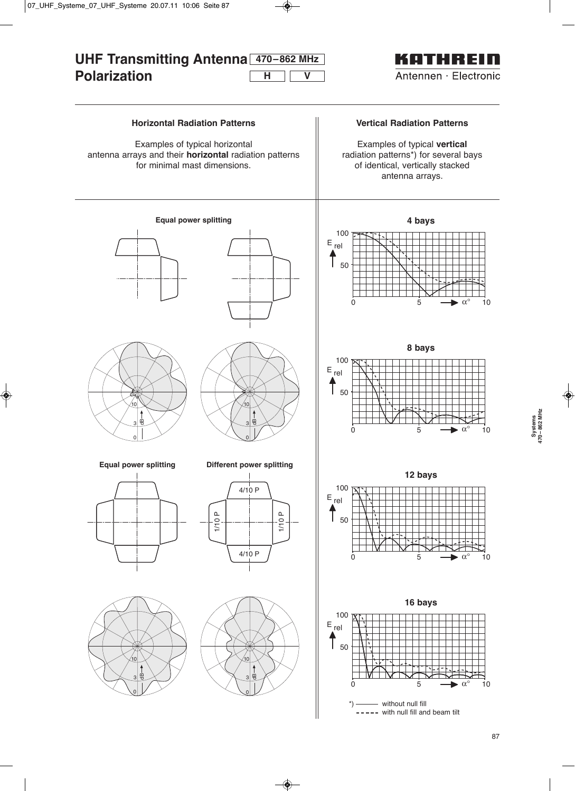

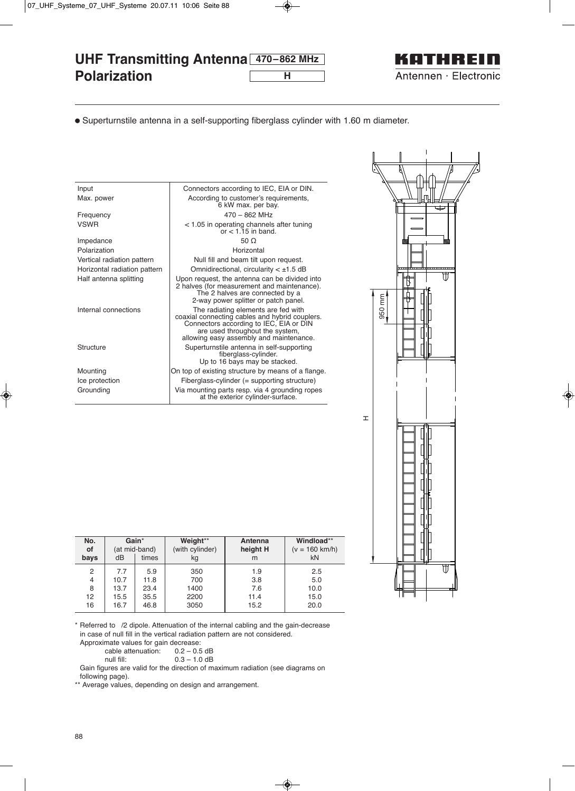**UHF Transmitting Antenna 470–862 MHz Polarization H**



<sup>l</sup> Superturnstile antenna in a self-supporting fiberglass cylinder with 1.60 m diameter.

| Input                        | Connectors according to IEC, EIA or DIN.                                                                                                                                                                       |     |
|------------------------------|----------------------------------------------------------------------------------------------------------------------------------------------------------------------------------------------------------------|-----|
| Max. power                   | According to customer's requirements,<br>6 kW max, per bay.                                                                                                                                                    |     |
| Frequency                    | $470 - 862$ MHz                                                                                                                                                                                                |     |
| <b>VSWR</b>                  | < 1.05 in operating channels after tuning<br>or $< 115$ in band                                                                                                                                                |     |
| Impedance                    | 50 <sub>O</sub>                                                                                                                                                                                                |     |
| Polarization                 | Horizontal                                                                                                                                                                                                     |     |
| Vertical radiation pattern   | Null fill and beam tilt upon request.                                                                                                                                                                          |     |
| Horizontal radiation pattern | Omnidirectional, circularity $< \pm 1.5$ dB                                                                                                                                                                    |     |
| Half antenna splitting       | Upon request, the antenna can be divided into<br>2 halves (for measurement and maintenance).<br>The 2 halves are connected by a<br>2-way power splitter or patch panel.                                        | mm  |
| Internal connections         | The radiating elements are fed with<br>coaxial connecting cables and hybrid couplers.<br>Connectors according to IEC, EIA or DIN<br>are used throughout the system,<br>allowing easy assembly and maintenance. | 950 |
| Structure                    | Superturnstile antenna in self-supporting<br>fiberglass-cylinder.<br>Up to 16 bays may be stacked.                                                                                                             |     |
| Mounting                     | On top of existing structure by means of a flange.                                                                                                                                                             |     |
| Ice protection               | Fiberglass-cylinder (= supporting structure)                                                                                                                                                                   |     |
| Grounding                    | Via mounting parts resp. via 4 grounding ropes<br>at the exterior cylinder-surface.                                                                                                                            |     |

| No.            | Gain*         |       | Weight**        | Antenna  | Windload**       |
|----------------|---------------|-------|-----------------|----------|------------------|
| of             | (at mid-band) |       | (with cylinder) | height H | $(v = 160$ km/h) |
| bays           | dB            | times | kg              | m        | kN               |
| $\overline{2}$ | 7.7           | 5.9   | 350             | 1.9      | 2.5              |
| 4              | 10.7          | 11.8  | 700             | 3.8      | 5.0              |
| 8              | 13.7          | 23.4  | 1400            | 7.6      | 10.0             |
| 12             | 15.5          | 35.5  | 2200            | 11.4     | 15.0             |
| 16             | 16.7          | 46.8  | 3050            | 15.2     | 20.0             |
|                |               |       |                 |          |                  |

\* Referred to /2 dipole. Attenuation of the internal cabling and the gain-decrease in case of null fill in the vertical radiation pattern are not considered.

Approximate values for gain decrease:<br>cable attenuation:  $0.2 - 0.5$  dB

cable attenuation: null fill: 0.3 – 1.0 dB

Gain figures are valid for the direction of maximum radiation (see diagrams on following page).

\*\* Average values, depending on design and arrangement.



H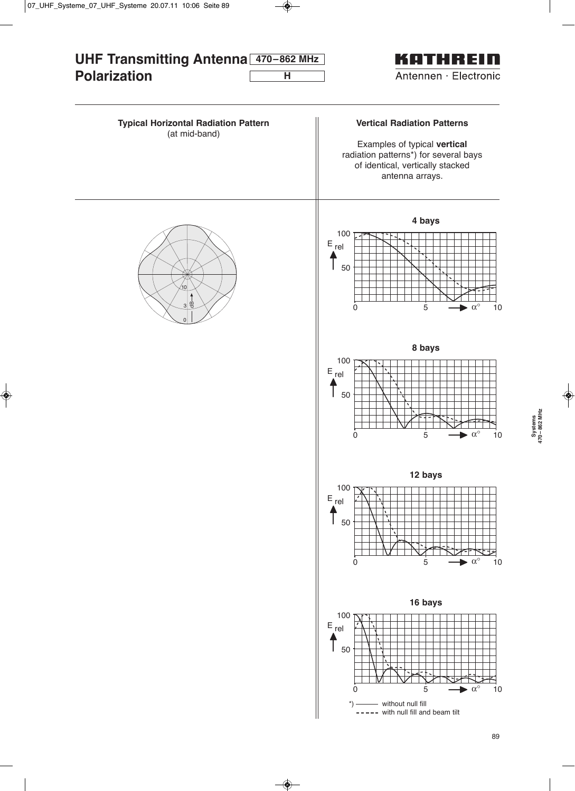

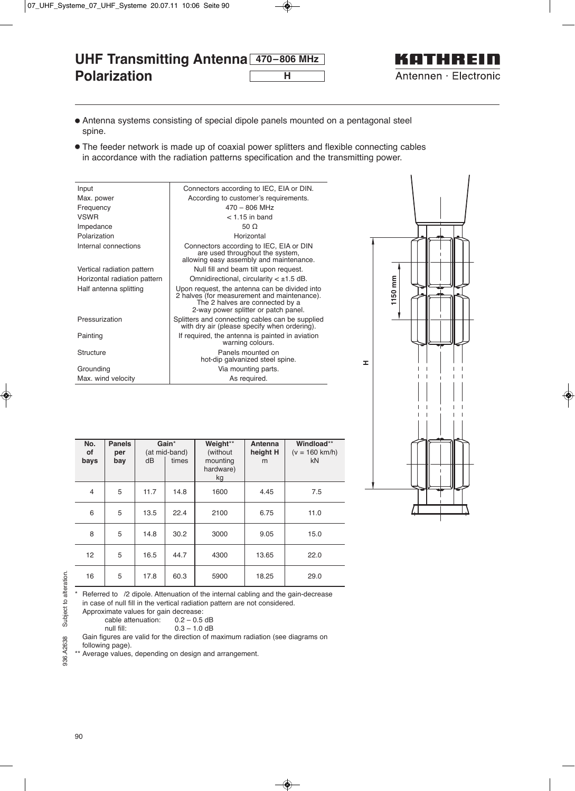**UHF Transmitting Antenna 470–806 MHz Polarization H**



- <sup>l</sup> Antenna systems consisting of special dipole panels mounted on a pentagonal steel spine.
- The feeder network is made up of coaxial power splitters and flexible connecting cables in accordance with the radiation patterns specification and the transmitting power.

| Input                        | Connectors according to IEC, EIA or DIN.                                                                                                                                |
|------------------------------|-------------------------------------------------------------------------------------------------------------------------------------------------------------------------|
| Max. power                   | According to customer's requirements.                                                                                                                                   |
| Frequency                    | $470 - 806$ MHz                                                                                                                                                         |
| <b>VSWR</b>                  | $<$ 1.15 in band                                                                                                                                                        |
| Impedance                    | 50 O                                                                                                                                                                    |
| Polarization                 | Horizontal                                                                                                                                                              |
| Internal connections         | Connectors according to IEC, EIA or DIN<br>are used throughout the system,<br>allowing easy assembly and maintenance.                                                   |
| Vertical radiation pattern   | Null fill and beam tilt upon request.                                                                                                                                   |
| Horizontal radiation pattern | Omnidirectional, circularity $\lt \pm 1.5$ dB.                                                                                                                          |
| Half antenna splitting       | Upon request, the antenna can be divided into<br>2 halves (for measurement and maintenance).<br>The 2 halves are connected by a<br>2-way power splitter or patch panel. |
| Pressurization               | Splitters and connecting cables can be supplied<br>with dry air (please specify when ordering).                                                                         |
| Painting                     | If required, the antenna is painted in aviation<br>warning colours.                                                                                                     |
| Structure                    | Panels mounted on<br>hot-dip galvanized steel spine.                                                                                                                    |
| Grounding                    | Via mounting parts.                                                                                                                                                     |
| Max. wind velocity           | As required.                                                                                                                                                            |

| No.<br>οf<br>bays | <b>Panels</b><br>per<br>bay | dB   | Gain*<br>(at mid-band)<br>times | Weight**<br>(without)<br>mounting<br>hardware)<br>kg | Antenna<br>height H<br>m | Windload**<br>$(v = 160$ km/h)<br><b>kN</b> |
|-------------------|-----------------------------|------|---------------------------------|------------------------------------------------------|--------------------------|---------------------------------------------|
| $\overline{4}$    | 5                           | 11.7 | 14.8                            | 1600                                                 | 4.45                     | 7.5                                         |
| 6                 | 5                           | 13.5 | 22.4                            | 2100                                                 | 6.75                     | 11.0                                        |
| 8                 | 5                           | 14.8 | 30.2                            | 3000                                                 | 9.05                     | 15.0                                        |
| 12 <sup>2</sup>   | 5                           | 16.5 | 44.7                            | 4300                                                 | 13.65                    | 22.0                                        |
| 16                | 5                           | 17.8 | 60.3                            | 5900                                                 | 18.25                    | 29.0                                        |



\* Referred to /2 dipole. Attenuation of the internal cabling and the gain-decrease in case of null fill in the vertical radiation pattern are not considered. Approximate values for gain decrease:

cable attenuation:  $0.2 - 0.5$  dB<br>null fill:  $0.3 - 1.0$  dB

 $0.3 - 1.0$  dB

Gain figures are valid for the direction of maximum radiation (see diagrams on

following page).

\*\* Average values, depending on design and arrangement.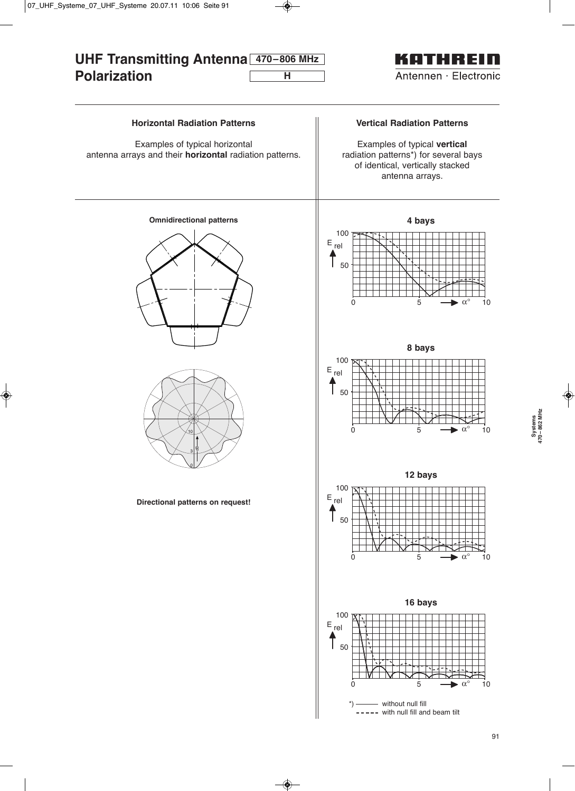

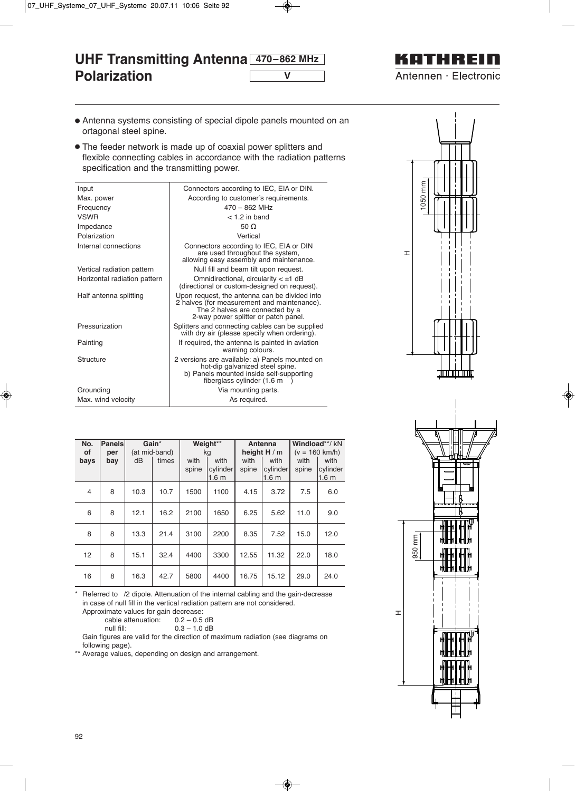#### **UHF Transmitting Antenna 470–862 MHz Polarization V**

#### KOTHREIN Antennen · Electronic

- Antenna systems consisting of special dipole panels mounted on an ortagonal steel spine.
- The feeder network is made up of coaxial power splitters and flexible connecting cables in accordance with the radiation patterns specification and the transmitting power.

| Input                        | Connectors according to IEC, EIA or DIN.                                                                                                                                |
|------------------------------|-------------------------------------------------------------------------------------------------------------------------------------------------------------------------|
| Max. power                   | According to customer's requirements.                                                                                                                                   |
| Frequency                    | $470 - 862$ MHz                                                                                                                                                         |
| <b>VSWR</b>                  | $< 1$ 2 in band                                                                                                                                                         |
| Impedance                    | 50 $\Omega$                                                                                                                                                             |
| Polarization                 | Vertical                                                                                                                                                                |
| Internal connections         | Connectors according to IEC, EIA or DIN<br>are used throughout the system,<br>allowing easy assembly and maintenance.                                                   |
| Vertical radiation pattern   | Null fill and beam tilt upon request.                                                                                                                                   |
| Horizontal radiation pattern | Omnidirectional, circularity $< \pm 1$ dB<br>(directional or custom-designed on request).                                                                               |
| Half antenna splitting       | Upon request, the antenna can be divided into<br>2 halves (for measurement and maintenance).<br>The 2 halves are connected by a<br>2-way power splitter or patch panel. |
| Pressurization               | Splitters and connecting cables can be supplied<br>with dry air (please specify when ordering).                                                                         |
| Painting                     | If required, the antenna is painted in aviation<br>warning colours.                                                                                                     |
| Structure                    | 2 versions are available: a) Panels mounted on<br>hot-dip galvanized steel spine.<br>b) Panels mounted inside self-supporting<br>fiberglass cylinder (1.6 m             |
| Grounding                    | Via mounting parts.                                                                                                                                                     |
| Max. wind velocity           | As required.                                                                                                                                                            |
|                              |                                                                                                                                                                         |

| No.<br>οf<br>bays | Panels<br>per<br>bay | dB   | Gain*<br>(at mid-band)<br>times | Weight**<br>kg |                              | Antenna<br>height $H/m$<br>with<br>with<br>with<br>with |                              | Windload**/kN<br>$(v = 160$ km/h)<br>with<br>with |                              |
|-------------------|----------------------|------|---------------------------------|----------------|------------------------------|---------------------------------------------------------|------------------------------|---------------------------------------------------|------------------------------|
|                   |                      |      |                                 | spine          | cylinder<br>1.6 <sub>m</sub> | spine                                                   | cylinder<br>1.6 <sub>m</sub> | spine                                             | cylinder<br>1.6 <sub>m</sub> |
| $\overline{4}$    | 8                    | 10.3 | 10.7                            | 1500           | 1100                         | 4.15                                                    | 3.72                         | 7.5                                               | 6.0                          |
| 6                 | 8                    | 12.1 | 16.2                            | 2100           | 1650                         | 6.25                                                    | 5.62                         | 11.0                                              | 9.0                          |
| 8                 | 8                    | 13.3 | 21.4                            | 3100           | 2200                         | 8.35                                                    | 7.52                         | 15.0                                              | 12.0                         |
| 12                | 8                    | 15.1 | 32.4                            | 4400           | 3300                         | 12.55                                                   | 11.32                        | 22.0                                              | 18.0                         |
| 16                | 8                    | 16.3 | 42.7                            | 5800           | 4400                         | 16.75                                                   | 15.12                        | 29.0                                              | 24.0                         |

\* Referred to /2 dipole. Attenuation of the internal cabling and the gain-decrease in case of null fill in the vertical radiation pattern are not considered. Approximate values for gain decrease:

cable attenuation:  $0.2 - 0.5$  dB<br>null fill:  $0.3 - 1.0$  dB  $0.3 - 1.0$  dB

Gain figures are valid for the direction of maximum radiation (see diagrams on following page).

\*\* Average values, depending on design and arrangement.



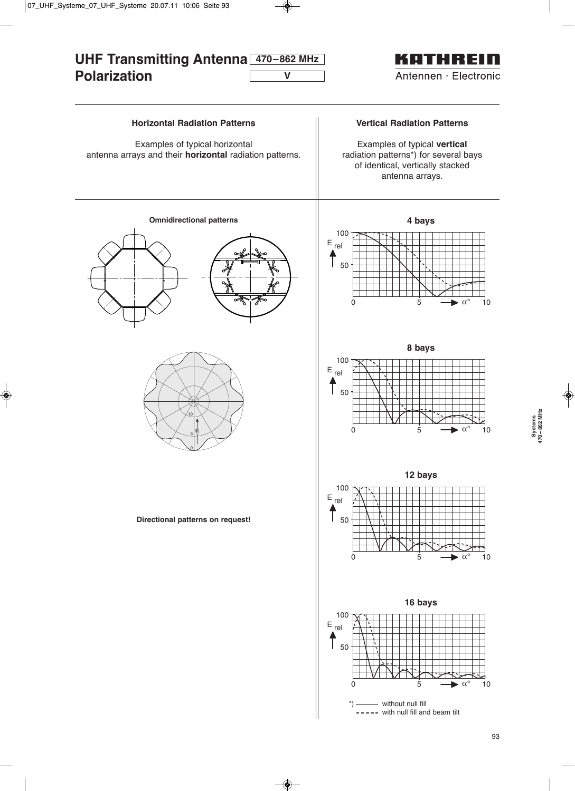

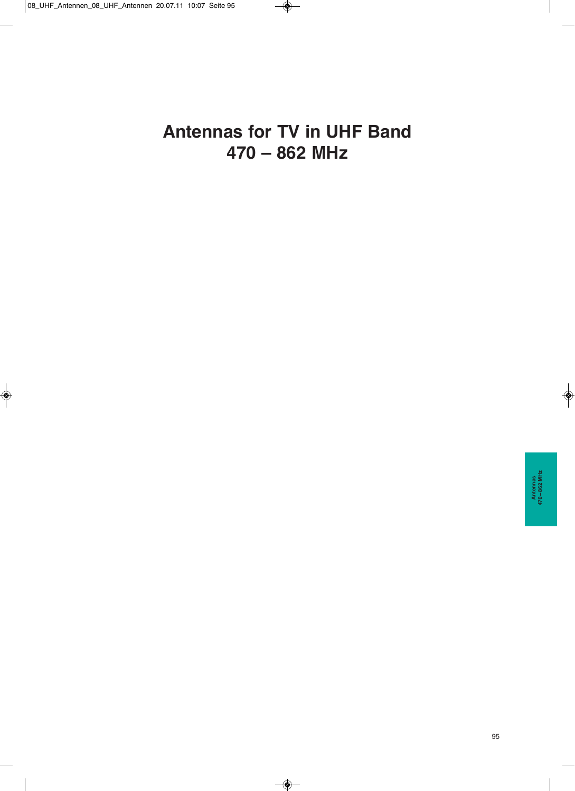# **Antennas for TV in UHF Band 470 – 862 MHz**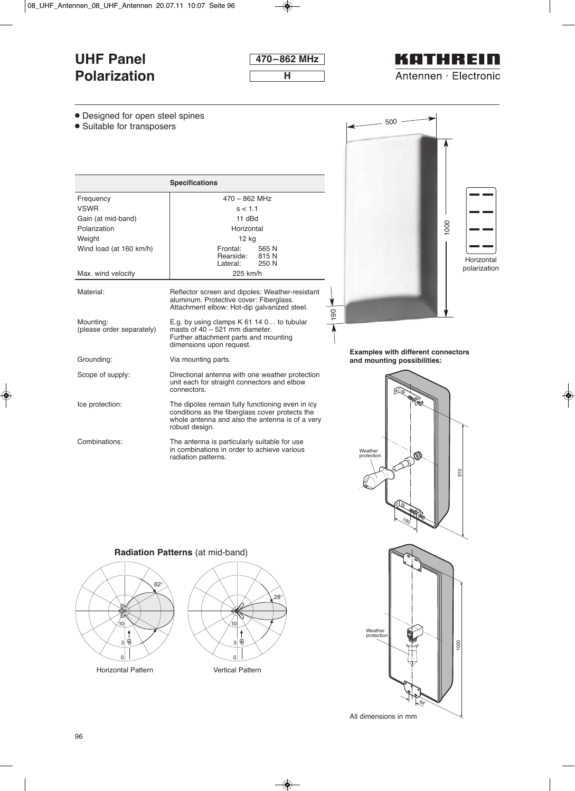**470–862 MHz H**

#### KATHREIN Antennen · Electronic

• Designed for open steel spines

• Suitable for transposers

|                                        | <b>Specifications</b>                                                                                                                                                    |  |  |  |
|----------------------------------------|--------------------------------------------------------------------------------------------------------------------------------------------------------------------------|--|--|--|
| Frequency                              | $470 - 862$ MHz                                                                                                                                                          |  |  |  |
| <b>VSWR</b>                            | s < 1.1                                                                                                                                                                  |  |  |  |
| Gain (at mid-band)                     | 11 dBd                                                                                                                                                                   |  |  |  |
| Polarization                           | Horizontal                                                                                                                                                               |  |  |  |
| Weight                                 | 12 kg                                                                                                                                                                    |  |  |  |
| Wind load (at 160 km/h)                | Frontal:<br>565 N<br>Rearside: 815 N<br>Lateral:<br>250 N                                                                                                                |  |  |  |
| Max. wind velocity                     | 225 km/h                                                                                                                                                                 |  |  |  |
| Material:                              | Reflector screen and dipoles: Weather-resistant<br>aluminum. Protective cover: Fiberglass.<br>Attachment elbow: Hot-dip galvanized steel.                                |  |  |  |
| Mounting:<br>(please order separately) | E.g. by using clamps $K$ 61 14 0 to tubular<br>masts of $40 - 521$ mm diameter.<br>Further attachment parts and mounting<br>dimensions upon request.                     |  |  |  |
| Grounding:                             | Via mounting parts.                                                                                                                                                      |  |  |  |
| Scope of supply:                       | Directional antenna with one weather protection<br>unit each for straight connectors and elbow<br>connectors                                                             |  |  |  |
| Ice protection:                        | The dipoles remain fully functioning even in icy<br>conditions as the fiberglass cover protects the<br>whole antenna and also the antenna is of a very<br>robust design. |  |  |  |
| Combinations:                          | The antenna is particularly suitable for use<br>in combinations in order to achieve various<br>radiation patterns.                                                       |  |  |  |



**Examples with different connectors and mounting possibilities:**



1020 64 Weather protection

All dimensions in mm

#### **Radiation Patterns** (at mid-band)



Horizontal Pattern **Vertical Pattern** 

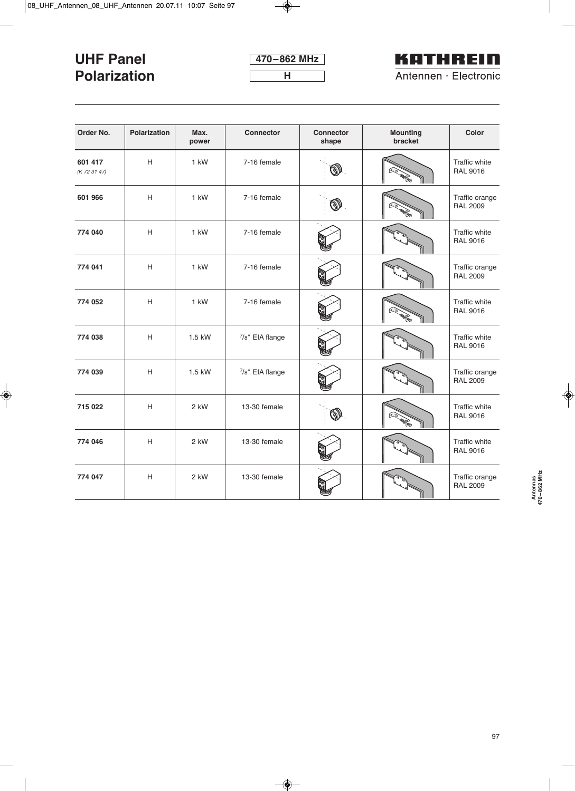| 470–862 MHz |  |
|-------------|--|
|             |  |



| Order No.               | <b>Polarization</b> | Max.<br>power | <b>Connector</b> | <b>Connector</b><br>shape | <b>Mounting</b><br>bracket | Color                             |
|-------------------------|---------------------|---------------|------------------|---------------------------|----------------------------|-----------------------------------|
| 601 417<br>(K 72 31 47) | H                   | $1$ kW        | 7-16 female      |                           | 'G                         | Traffic white<br><b>RAL 9016</b>  |
| 601 966                 | H                   | 1 kW          | 7-16 female      |                           |                            | Traffic orange<br><b>RAL 2009</b> |
| 774 040                 | H                   | $1$ kW        | 7-16 female      |                           |                            | Traffic white<br><b>RAL 9016</b>  |
| 774 041                 | H                   | 1 kW          | 7-16 female      |                           |                            | Traffic orange<br><b>RAL 2009</b> |
| 774 052                 | H                   | 1 kW          | 7-16 female      |                           | 1Sp                        | Traffic white<br><b>RAL 9016</b>  |
| 774 038                 | H                   | $1.5$ kW      | 7/8" EIA flange  |                           |                            | Traffic white<br><b>RAL 9016</b>  |
| 774 039                 | H                   | 1.5 kW        | 7/8" EIA flange  |                           |                            | Traffic orange<br><b>RAL 2009</b> |
| 715 022                 | H                   | 2 kW          | 13-30 female     |                           | Гэь                        | Traffic white<br><b>RAL 9016</b>  |
| 774 046                 | H                   | 2 kW          | 13-30 female     |                           |                            | Traffic white<br><b>RAL 9016</b>  |
| 774 047                 | H                   | 2 kW          | 13-30 female     |                           |                            | Traffic orange<br><b>RAL 2009</b> |

Antennas<br>470 – 862 MHz **470 – 862 MHz Antennas**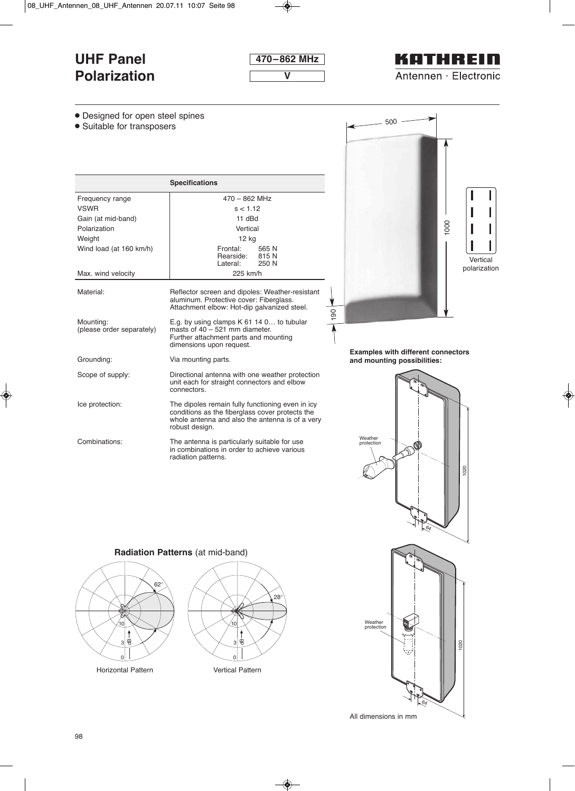

### KATHREIN Antennen · Electronic

• Designed for open steel spines

• Suitable for transposers

| <b>Specifications</b>                  |                                                                                                                                                                          |  |  |  |  |
|----------------------------------------|--------------------------------------------------------------------------------------------------------------------------------------------------------------------------|--|--|--|--|
| Frequency range                        | $470 - 862$ MHz                                                                                                                                                          |  |  |  |  |
| <b>VSWR</b>                            | s < 1.12                                                                                                                                                                 |  |  |  |  |
| Gain (at mid-band)                     | 11 $dBd$                                                                                                                                                                 |  |  |  |  |
| Polarization                           | Vertical                                                                                                                                                                 |  |  |  |  |
| Weight                                 | 12 kg                                                                                                                                                                    |  |  |  |  |
| Wind load (at 160 km/h)                | Frontal:<br>565 N<br>Rearside:<br>815 N<br>Lateral: 250 N                                                                                                                |  |  |  |  |
| Max. wind velocity                     | 225 km/h                                                                                                                                                                 |  |  |  |  |
| Material:                              | Reflector screen and dipoles: Weather-resistant<br>aluminum. Protective cover: Fiberglass.<br>Attachment elbow: Hot-dip galvanized steel.                                |  |  |  |  |
| Mounting:<br>(please order separately) | E.g. by using clamps K 61 14 0 to tubular<br>masts of $40 - 521$ mm diameter.<br>Further attachment parts and mounting<br>dimensions upon request.                       |  |  |  |  |
| Grounding:                             | Via mounting parts.                                                                                                                                                      |  |  |  |  |
| Scope of supply:                       | Directional antenna with one weather protection<br>unit each for straight connectors and elbow<br>connectors                                                             |  |  |  |  |
| Ice protection:                        | The dipoles remain fully functioning even in icy<br>conditions as the fiberglass cover protects the<br>whole antenna and also the antenna is of a very<br>robust design. |  |  |  |  |
| Combinations:                          | The antenna is particularly suitable for use<br>in combinations in order to achieve various<br>radiation patterns.                                                       |  |  |  |  |



**Examples with different connectors and mounting possibilities:**



**Radiation Patterns** (at mid-band)



Horizontal Pattern **Vertical Pattern** 





All dimensions in mm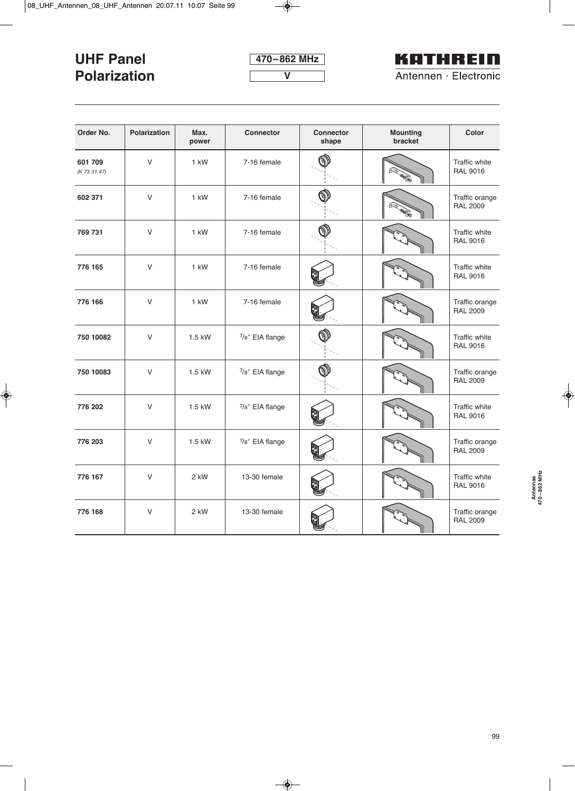| 470-862 MHz |  |
|-------------|--|
|             |  |



| Order No.               | Polarization | Max.<br>power | Connector       | <b>Connector</b><br>shape | <b>Mounting</b><br>bracket | Color                             |
|-------------------------|--------------|---------------|-----------------|---------------------------|----------------------------|-----------------------------------|
| 601 709<br>(K 73 31 47) | V            | 1 kW          | 7-16 female     |                           |                            | Traffic white<br><b>RAL 9016</b>  |
| 602 371                 | V            | 1 kW          | 7-16 female     |                           |                            | Traffic orange<br><b>RAL 2009</b> |
| 769 731                 | $\vee$       | 1 kW          | 7-16 female     |                           |                            | Traffic white<br><b>RAL 9016</b>  |
| 776 165                 | $\vee$       | 1 kW          | 7-16 female     |                           |                            | Traffic white<br><b>RAL 9016</b>  |
| 776 166                 | $\vee$       | 1 kW          | 7-16 female     |                           |                            | Traffic orange<br><b>RAL 2009</b> |
| 750 10082               | V            | 1.5 kW        | 7/8" EIA flange |                           |                            | Traffic white<br><b>RAL 9016</b>  |
| 750 10083               | V            | 1.5 kW        | 7/8" EIA flange |                           |                            | Traffic orange<br><b>RAL 2009</b> |
| 776 202                 | V            | 1.5 kW        | 7/8" EIA flange |                           |                            | Traffic white<br><b>RAL 9016</b>  |
| 776 203                 | V            | 1.5 kW        | 7/8" EIA flange |                           |                            | Traffic orange<br><b>RAL 2009</b> |
| 776 167                 | $\vee$       | 2 kW          | 13-30 female    |                           |                            | Traffic white<br><b>RAL 9016</b>  |
| 776 168                 | $\vee$       | 2 kW          | 13-30 female    |                           |                            | Traffic orange<br><b>RAL 2009</b> |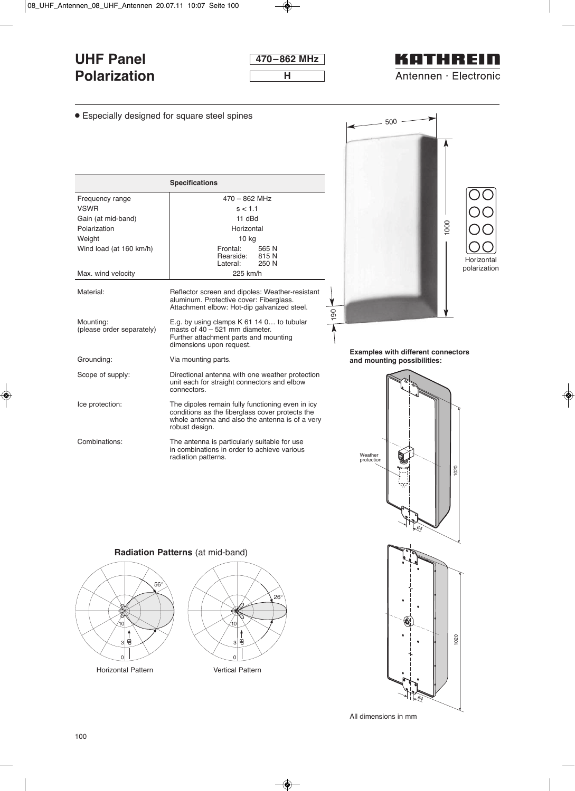| 470-862 MHz |  |
|-------------|--|
|             |  |
|             |  |

### KOTHREIN Antennen · Electronic